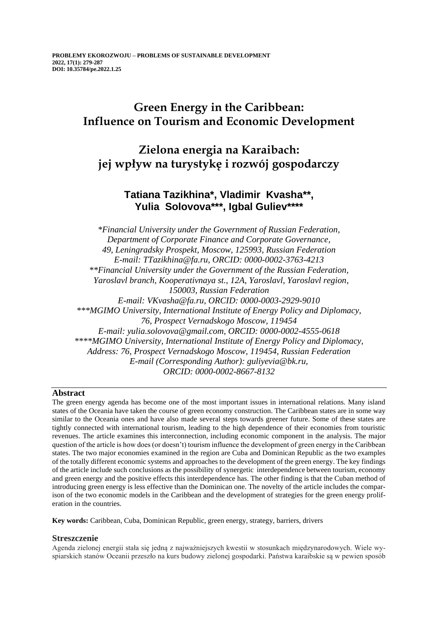## **Green Energy in the Caribbean: Influence on Tourism and Economic Development**

# **Zielona energia na Karaibach: jej wpływ na turystykę i rozwój gospodarczy**

## **Tatiana Tazikhina\*, Vladimir Kvasha\*\*, Yulia Solovova\*\*\*, Igbal Guliev\*\*\*\***

*\*Financial University under the Government of Russian Federation, Department of Corporate Finance and Corporate Governance, 49, Leningradsky Prospekt, Moscow, 125993, Russian Federation E-mail: TTazikhina@fa.ru, ORCID: 0000-0002-3763-4213 \*\*Financial University under the Government of the Russian Federation, Yaroslavl branch, Kooperativnaya st., 12A, Yaroslavl, Yaroslavl region, 150003, Russian Federation E-mail: VKvasha@fa.ru, ORCID: 0000-0003-2929-9010 \*\*\*MGIMO University, International Institute of Energy Policy and Diplomacy, 76, Prospect Vernadskogo Moscow, 119454 E-mail: yulia.solovova@gmail.com, ORCID: 0000-0002-4555-0618 \*\*\*\*MGIMO University, International Institute of Energy Policy and Diplomacy, Address: 76, Prospect Vernadskogo Moscow, 119454, Russian Federation E-mail (Corresponding Author): guliyevia@bk.ru, ORCID: 0000-0002-8667-8132*

## **Abstract**

The green energy agenda has become one of the most important issues in international relations. Many island states of the Oceania have taken the course of green economy construction. The Caribbean states are in some way similar to the Oceania ones and have also made several steps towards greener future. Some of these states are tightly connected with international tourism, leading to the high dependence of their economies from touristic revenues. The article examines this interconnection, including economic component in the analysis. The major question of the article is how does (or doesn't) tourism influence the development of green energy in the Caribbean states. The two major economies examined in the region are Cuba and Dominican Republic as the two examples of the totally different economic systems and approaches to the development of the green energy. The key findings of the article include such conclusions as the possibility of synergetic interdependence between tourism, economy and green energy and the positive effects this interdependence has. The other finding is that the Cuban method of introducing green energy is less effective than the Dominican one. The novelty of the article includes the comparison of the two economic models in the Caribbean and the development of strategies for the green energy proliferation in the countries.

**Key words:** Caribbean, Cuba, Dominican Republic, green energy, strategy, barriers, drivers

## **Streszczenie**

Agenda zielonej energii stała się jedną z najważniejszych kwestii w stosunkach międzynarodowych. Wiele wyspiarskich stanów Oceanii przeszło na kurs budowy zielonej gospodarki. Państwa karaibskie są w pewien sposób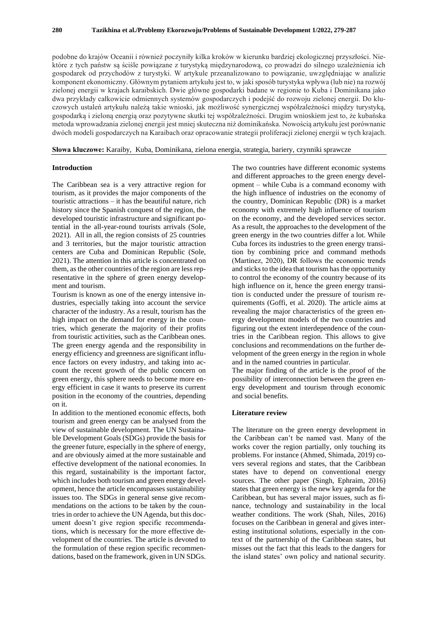podobne do krajów Oceanii i również poczyniły kilka kroków w kierunku bardziej ekologicznej przyszłości. Niektóre z tych państw są ściśle powiązane z turystyką międzynarodową, co prowadzi do silnego uzależnienia ich gospodarek od przychodów z turystyki. W artykule przeanalizowano to powiązanie, uwzględniając w analizie komponent ekonomiczny. Głównym pytaniem artykułu jest to, w jaki sposób turystyka wpływa (lub nie) na rozwój zielonej energii w krajach karaibskich. Dwie główne gospodarki badane w regionie to Kuba i Dominikana jako dwa przykłady całkowicie odmiennych systemów gospodarczych i podejść do rozwoju zielonej energii. Do kluczowych ustaleń artykułu należą takie wnioski, jak możliwość synergicznej współzależności między turystyką, gospodarką i zieloną energią oraz pozytywne skutki tej współzależności. Drugim wnioskiem jest to, że kubańska metoda wprowadzania zielonej energii jest mniej skuteczna niż dominikańska. Nowością artykułu jest porównanie dwóch modeli gospodarczych na Karaibach oraz opracowanie strategii proliferacji zielonej energii w tych krajach.

**Słowa kluczowe:** Karaiby, Kuba, Dominikana, zielona energia, strategia, bariery, czynniki sprawcze

## **Introduction**

The Caribbean sea is a very attractive region for tourism, as it provides the major components of the touristic attractions – it has the beautiful nature, rich history since the Spanish conquest of the region, the developed touristic infrastructure and significant potential in the all-year-round tourists arrivals (Sole, 2021). All in all, the region consists of 25 countries and 3 territories, but the major touristic attraction centers are Cuba and Dominican Republic (Sole, 2021). The attention in this article is concentrated on them, as the other countries of the region are less representative in the sphere of green energy development and tourism.

Tourism is known as one of the energy intensive industries, especially taking into account the service character of the industry. As a result, tourism has the high impact on the demand for energy in the countries, which generate the majority of their profits from touristic activities, such as the Caribbean ones. The green energy agenda and the responsibility in energy efficiency and greenness are significant influence factors on every industry, and taking into account the recent growth of the public concern on green energy, this sphere needs to become more energy efficient in case it wants to preserve its current position in the economy of the countries, depending on it.

In addition to the mentioned economic effects, both tourism and green energy can be analysed from the view of sustainable development. The UN Sustainable Development Goals (SDGs) provide the basis for the greener future, especially in the sphere of energy, and are obviously aimed at the more sustainable and effective development of the national economies. In this regard, sustainability is the important factor, which includes both tourism and green energy development, hence the article encompasses sustainability issues too. The SDGs in general sense give recommendations on the actions to be taken by the countries in order to achieve the UN Agenda, but this document doesn't give region specific recommendations, which is necessary for the more effective development of the countries. The article is devoted to the formulation of these region specific recommendations, based on the framework, given in UN SDGs.

The two countries have different economic systems and different approaches to the green energy development – while Cuba is a command economy with the high influence of industries on the economy of the country, Dominican Republic (DR) is a market economy with extremely high influence of tourism on the economy, and the developed services sector. As a result, the approaches to the development of the green energy in the two countries differ a lot. While Cuba forces its industries to the green energy transition by combining price and command methods (Martínez, 2020), DR follows the economic trends and sticks to the idea that tourism has the opportunity to control the economy of the country because of its high influence on it, hence the green energy transition is conducted under the pressure of tourism requirements (Goffi, et al. 2020). The article aims at revealing the major characteristics of the green energy development models of the two countries and figuring out the extent interdependence of the countries in the Caribbean region. This allows to give conclusions and recommendations on the further development of the green energy in the region in whole and in the named countries in particular.

The major finding of the article is the proof of the possibility of interconnection between the green energy development and tourism through economic and social benefits.

#### **Literature review**

The literature on the green energy development in the Caribbean can't be named vast. Many of the works cover the region partially, only touching its problems. For instance (Ahmed, Shimada, 2019) covers several regions and states, that the Caribbean states have to depend on conventional energy sources. The other paper (Singh, Ephraim, 2016) states that green energy is the new key agenda for the Caribbean, but has several major issues, such as finance, technology and sustainability in the local weather conditions. The work (Shah, Niles, 2016) focuses on the Caribbean in general and gives interesting institutional solutions, especially in the context of the partnership of the Caribbean states, but misses out the fact that this leads to the dangers for the island states' own policy and national security.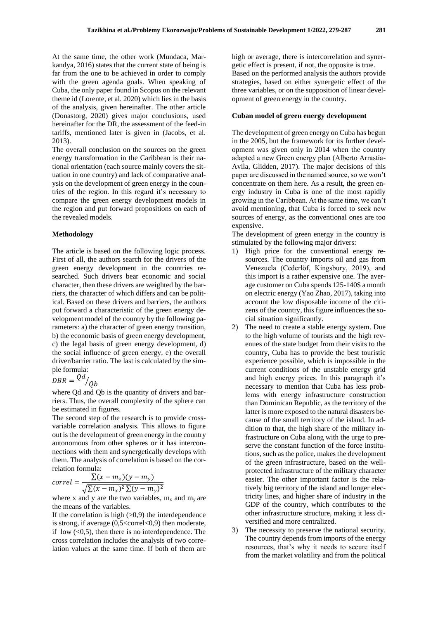At the same time, the other work (Mundaca, Markandya, 2016) states that the current state of being is far from the one to be achieved in order to comply with the green agenda goals. When speaking of Cuba, the only paper found in Scopus on the relevant theme id (Lorente, et al. 2020) which lies in the basis of the analysis, given hereinafter. The other article (Donastorg, 2020) gives major conclusions, used hereinafter for the DR, the assessment of the feed-in tariffs, mentioned later is given in (Jacobs, et al. 2013).

The overall conclusion on the sources on the green energy transformation in the Caribbean is their national orientation (each source mainly covers the situation in one country) and lack of comparative analysis on the development of green energy in the countries of the region. In this regard it's necessary to compare the green energy development models in the region and put forward propositions on each of the revealed models.

#### **Methodology**

The article is based on the following logic process. First of all, the authors search for the drivers of the green energy development in the countries researched. Such drivers bear economic and social character, then these drivers are weighted by the barriers, the character of which differs and can be political. Based on these drivers and barriers, the authors put forward a characteristic of the green energy development model of the country by the following parameters: a) the character of green energy transition, b) the economic basis of green energy development, c) the legal basis of green energy development, d) the social influence of green energy, e) the overall driver/barrier ratio. The last is calculated by the simple formula:

$$
DBR = \frac{Qd}{Qb}
$$

where Od and Ob is the quantity of drivers and barriers. Thus, the overall complexity of the sphere can be estimated in figures.

The second step of the research is to provide crossvariable correlation analysis. This allows to figure out is the development of green energy in the country autonomous from other spheres or it has interconnections with them and synergetically develops with them. The analysis of correlation is based on the correlation formula:

$$
correl = \frac{\sum (x - m_x)(y - m_y)}{\sqrt{\sum (x - m_x)^2 \sum (y - m_y)^2}}
$$

where x and y are the two variables,  $m_x$  and  $m_y$  are the means of the variables.

If the correlation is high  $(>0,9)$  the interdependence is strong, if average  $(0,5<$ correl $< 0,9$ ) then moderate, if low  $(<0,5)$ , then there is no interdependence. The cross correlation includes the analysis of two correlation values at the same time. If both of them are

high or average, there is intercorrelation and synergetic effect is present, if not, the opposite is true. Based on the performed analysis the authors provide strategies, based on either synergetic effect of the three variables, or on the supposition of linear development of green energy in the country.

#### **Cuban model of green energy development**

The development of green energy on Cuba has begun in the 2005, but the framework for its further development was given only in 2014 when the country adapted a new Green energy plan (Alberto Arrastía-Avila, Glidden, 2017). The major decisions of this paper are discussed in the named source, so we won't concentrate on them here. As a result, the green energy industry in Cuba is one of the most rapidly growing in the Caribbean. At the same time, we can't avoid mentioning, that Cuba is forced to seek new sources of energy, as the conventional ones are too expensive.

The development of green energy in the country is stimulated by the following major drivers:

- 1) High price for the conventional energy resources. The country imports oil and gas from Venezuela (Cederlöf, Kingsbury, 2019), and this import is a rather expensive one. The average customer on Cuba spends 125-140\$ a month on electric energy (Yao Zhao, 2017), taking into account the low disposable income of the citizens of the country, this figure influences the social situation significantly.
- 2) The need to create a stable energy system. Due to the high volume of tourists and the high revenues of the state budget from their visits to the country, Cuba has to provide the best touristic experience possible, which is impossible in the current conditions of the unstable energy grid and high energy prices. In this paragraph it's necessary to mention that Cuba has less problems with energy infrastructure construction than Dominican Republic, as the territory of the latter is more exposed to the natural disasters because of the small territory of the island. In addition to that, the high share of the military infrastructure on Cuba along with the urge to preserve the constant function of the force institutions, such as the police, makes the development of the green infrastructure, based on the wellprotected infrastructure of the military character easier. The other important factor is the relatively big territory of the island and longer electricity lines, and higher share of industry in the GDP of the country, which contributes to the other infrastructure structure, making it less diversified and more centralized.
- The necessity to preserve the national security. The country depends from imports of the energy resources, that's why it needs to secure itself from the market volatility and from the political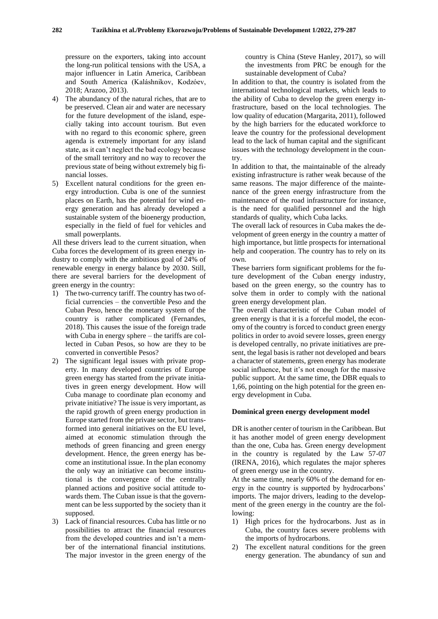pressure on the exporters, taking into account the long-run political tensions with the USA, a major influencer in Latin America, Caribbean and South America (Kaláshnikov, Kodzóev, 2018; Arazoo, 2013).

- 4) The abundancy of the natural riches, that are to be preserved. Clean air and water are necessary for the future development of the island, especially taking into account tourism. But even with no regard to this economic sphere, green agenda is extremely important for any island state, as it can't neglect the bad ecology because of the small territory and no way to recover the previous state of being without extremely big financial losses.
- 5) Excellent natural conditions for the green energy introduction. Cuba is one of the sunniest places on Earth, has the potential for wind energy generation and has already developed a sustainable system of the bioenergy production, especially in the field of fuel for vehicles and small powerplants.

All these drivers lead to the current situation, when Cuba forces the development of its green energy industry to comply with the ambitious goal of 24% of renewable energy in energy balance by 2030. Still, there are several barriers for the development of green energy in the country:

- 1) The two-currency tariff. The country has two official currencies – the convertible Peso and the Cuban Peso, hence the monetary system of the country is rather complicated (Fernandes, 2018). This causes the issue of the foreign trade with Cuba in energy sphere – the tariffs are collected in Cuban Pesos, so how are they to be converted in convertible Pesos?
- 2) The significant legal issues with private property. In many developed countries of Europe green energy has started from the private initiatives in green energy development. How will Cuba manage to coordinate plan economy and private initiative? The issue is very important, as the rapid growth of green energy production in Europe started from the private sector, but transformed into general initiatives on the EU level, aimed at economic stimulation through the methods of green financing and green energy development. Hence, the green energy has become an institutional issue. In the plan economy the only way an initiative can become institutional is the convergence of the centrally planned actions and positive social attitude towards them. The Cuban issue is that the government can be less supported by the society than it supposed.
- 3) Lack of financial resources. Cuba has little or no possibilities to attract the financial resources from the developed countries and isn't a member of the international financial institutions. The major investor in the green energy of the

country is China (Steve Hanley, 2017), so will the investments from PRC be enough for the sustainable development of Cuba?

In addition to that, the country is isolated from the international technological markets, which leads to the ability of Cuba to develop the green energy infrastructure, based on the local technologies. The low quality of education (Margarita, 2011), followed by the high barriers for the educated workforce to leave the country for the professional development lead to the lack of human capital and the significant issues with the technology development in the country.

In addition to that, the maintainable of the already existing infrastructure is rather weak because of the same reasons. The major difference of the maintenance of the green energy infrastructure from the maintenance of the road infrastructure for instance, is the need for qualified personnel and the high standards of quality, which Cuba lacks.

The overall lack of resources in Cuba makes the development of green energy in the country a matter of high importance, but little prospects for international help and cooperation. The country has to rely on its own.

These barriers form significant problems for the future development of the Cuban energy industry, based on the green energy, so the country has to solve them in order to comply with the national green energy development plan.

The overall characteristic of the Cuban model of green energy is that it is a forceful model, the economy of the country is forced to conduct green energy politics in order to avoid severe losses, green energy is developed centrally, no private initiatives are present, the legal basis is rather not developed and bears a character of statements, green energy has moderate social influence, but it's not enough for the massive public support. At the same time, the DBR equals to 1,66, pointing on the high potential for the green energy development in Cuba.

#### **Dominical green energy development model**

DR is another center of tourism in the Caribbean. But it has another model of green energy development than the one, Cuba has. Green energy development in the country is regulated by the Law 57-07 (IRENA, 2016), which regulates the major spheres of green energy use in the country.

At the same time, nearly 60% of the demand for energy in the country is supported by hydrocarbons' imports. The major drivers, leading to the development of the green energy in the country are the following:

- 1) High prices for the hydrocarbons. Just as in Cuba, the country faces severe problems with the imports of hydrocarbons.
- 2) The excellent natural conditions for the green energy generation. The abundancy of sun and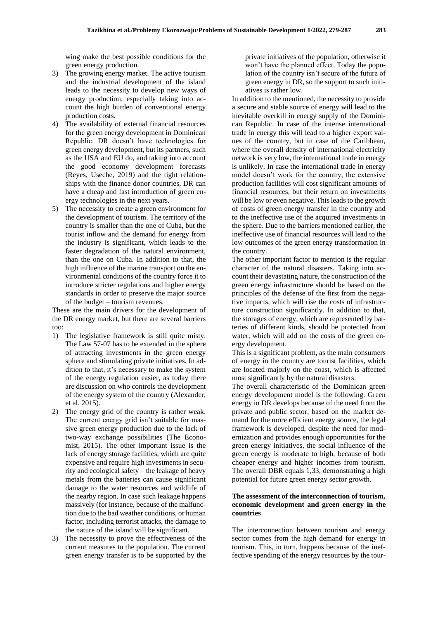wing make the best possible conditions for the green energy production.

- 3) The growing energy market. The active tourism and the industrial development of the island leads to the necessity to develop new ways of energy production, especially taking into account the high burden of conventional energy production costs.
- 4) The availability of external financial resources for the green energy development in Dominican Republic. DR doesn't have technologies for green energy development, but its partners, such as the USA and EU do, and taking into account the good economy development forecasts (Reyes, Useche, 2019) and the tight relationships with the finance donor countries, DR can have a cheap and fast introduction of green energy technologies in the next years.
- 5) The necessity to create a green environment for the development of tourism. The territory of the country is smaller than the one of Cuba, but the tourist inflow and the demand for energy from the industry is significant, which leads to the faster degradation of the natural environment, than the one on Cuba. In addition to that, the high influence of the marine transport on the environmental conditions of the country force it to introduce stricter regulations and higher energy standards in order to preserve the major source of the budget – tourism revenues.

These are the main drivers for the development of the DR energy market, but there are several barriers too:

- 1) The legislative framework is still quite misty. The Law 57-07 has to be extended in the sphere of attracting investments in the green energy sphere and stimulating private initiatives. In addition to that, it's necessary to make the system of the energy regulation easier, as today there are discussion on who controls the development of the energy system of the country (Alexander, et al. 2015).
- 2) The energy grid of the country is rather weak. The current energy grid isn't suitable for massive green energy production due to the lack of two-way exchange possibilities (The Economist, 2015). The other important issue is the lack of energy storage facilities, which are quite expensive and require high investments in security and ecological safety – the leakage of heavy metals from the batteries can cause significant damage to the water resources and wildlife of the nearby region. In case such leakage happens massively (for instance, because of the malfunction due to the bad weather conditions, or human factor, including terrorist attacks, the damage to the nature of the island will be significant.
- 3) The necessity to prove the effectiveness of the current measures to the population. The current green energy transfer is to be supported by the

private initiatives of the population, otherwise it won't have the planned effect. Today the population of the country isn't secure of the future of green energy in DR, so the support to such initiatives is rather low.

In addition to the mentioned, the necessity to provide a secure and stable source of energy will lead to the inevitable overkill in energy supply of the Dominican Republic. In case of the intense international trade in energy this will lead to a higher export values of the country, but in case of the Caribbean, where the overall density of international electricity network is very low, the international trade in energy is unlikely. In case the international trade in energy model doesn't work for the country, the extensive production facilities will cost significant amounts of financial resources, but their return on investments will be low or even negative. This leads to the growth of costs of green energy transfer in the country and to the ineffective use of the acquired investments in the sphere. Due to the barriers mentioned earlier, the ineffective use of financial resources will lead to the low outcomes of the green energy transformation in the country.

The other important factor to mention is the regular character of the natural disasters. Taking into account their devastating nature, the construction of the green energy infrastructure should be based on the principles of the defense of the first from the negative impacts, which will rise the costs of infrastructure construction significantly. In addition to that, the storages of energy, which are represented by batteries of different kinds, should be protected from water, which will add on the costs of the green energy development.

This is a significant problem, as the main consumers of energy in the country are tourist facilities, which are located majorly on the coast, which is affected most significantly by the natural disasters.

The overall characteristic of the Dominican green energy development model is the following. Green energy in DR develops because of the need from the private and public sector, based on the market demand for the more efficient energy source, the legal framework is developed, despite the need for modernization and provides enough opportunities for the green energy initiatives, the social influence of the green energy is moderate to high, because of both cheaper energy and higher incomes from tourism. The overall DBR equals 1,33, demonstrating a high potential for future green energy sector growth.

### **The assessment of the interconnection of tourism, economic development and green energy in the countries**

The interconnection between tourism and energy sector comes from the high demand for energy in tourism. This, in turn, happens because of the ineffective spending of the energy resources by the tour-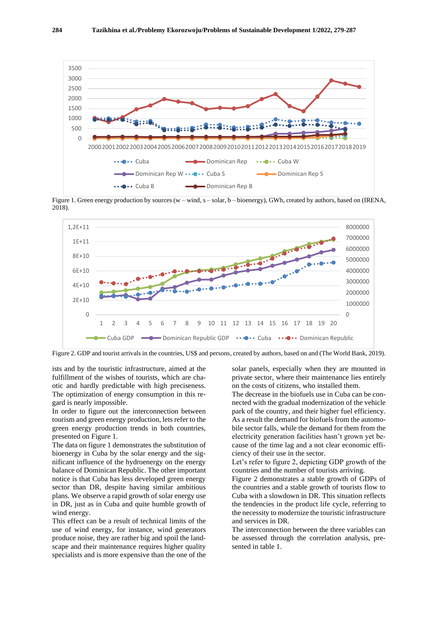

Figure 1. Green energy production by sources (w – wind, s – solar, b – bioenergy), GWh, created by authors, based on (IRENA, 2018).



Figure 2. GDP and tourist arrivals in the countries, US\$ and persons, created by authors, based on and (The World Bank, 2019).

ists and by the touristic infrastructure, aimed at the fulfillment of the wishes of tourists, which are chaotic and hardly predictable with high preciseness. The optimization of energy consumption in this regard is nearly impossible.

In order to figure out the interconnection between tourism and green energy production, lets refer to the green energy production trends in both countries, presented on Figure 1.

The data on figure 1 demonstrates the substitution of bioenergy in Cuba by the solar energy and the significant influence of the hydroenergy on the energy balance of Dominican Republic. The other important notice is that Cuba has less developed green energy sector than DR, despite having similar ambitious plans. We observe a rapid growth of solar energy use in DR, just as in Cuba and quite humble growth of wind energy.

This effect can be a result of technical limits of the use of wind energy, for instance, wind generators produce noise, they are rather big and spoil the landscape and their maintenance requires higher quality specialists and is more expensive than the one of the

solar panels, especially when they are mounted in private sector, where their maintenance lies entirely on the costs of citizens, who installed them.

The decrease in the biofuels use in Cuba can be connected with the gradual modernization of the vehicle park of the country, and their higher fuel efficiency. As a result the demand for biofuels from the automobile sector falls, while the demand for them from the electricity generation facilities hasn't grown yet because of the time lag and a not clear economic efficiency of their use in the sector.

Let's refer to figure 2, depicting GDP growth of the countries and the number of tourists arriving.

Figure 2 demonstrates a stable growth of GDPs of the countries and a stable growth of tourists flow to Cuba with a slowdown in DR. This situation reflects the tendencies in the product life cycle, referring to the necessity to modernize the touristic infrastructure and services in DR.

The interconnection between the three variables can be assessed through the correlation analysis, presented in table 1.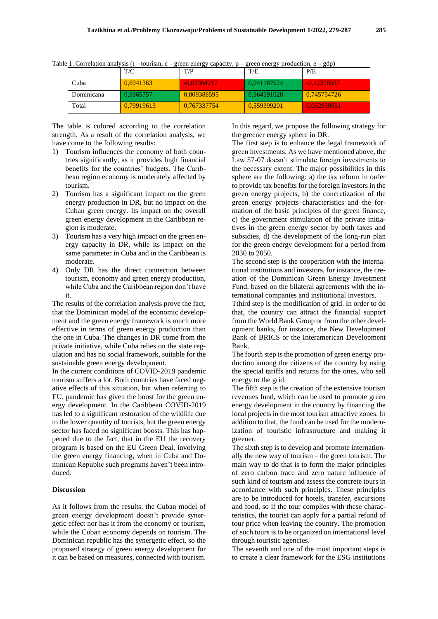|            | T/C        | T/P           | T/E         | P/E          |
|------------|------------|---------------|-------------|--------------|
| Cuba       | 0.6941363  | $-0.02364217$ | 0.941187624 | 40.122765877 |
| Dominicana | 0.9365757  | 0.809388595   | 0.964191028 | 0.745754726  |
| Total      | 0.79919613 | 0.767337754   | 0.559399201 | 0.062930561  |

Table 1. Correlation analysis (t – tourism, c – green energy capacity, p – green energy production, e – gdp)

The table is colored according to the correlation strength. As a result of the correlation analysis, we have come to the following results:

- 1) Tourism influences the economy of both countries significantly, as it provides high financial benefits for the countries' budgets. The Caribbean region economy is moderately affected by tourism.
- 2) Tourism has a significant impact on the green energy production in DR, but no impact on the Cuban green energy. Its impact on the overall green energy development in the Caribbean region is moderate.
- 3) Tourism has a very high impact on the green energy capacity in DR, while its impact on the same parameter in Cuba and in the Caribbean is moderate.
- 4) Only DR has the direct connection between tourism, economy and green energy production, while Cuba and the Caribbean region don't have it.

The results of the correlation analysis prove the fact, that the Dominican model of the economic development and the green energy framework is much more effective in terms of green energy production than the one in Cuba. The changes in DR come from the private initiative, while Cuba relies on the state regulation and has no social framework, suitable for the sustainable green energy development.

In the current conditions of COVID-2019 pandemic tourism suffers a lot. Both countries have faced negative effects of this situation, but when referring to EU, pandemic has given the boost for the green energy development. In the Caribbean COVID-2019 has led to a significant restoration of the wildlife due to the lower quantity of tourists, but the green energy sector has faced no significant boosts. This has happened due to the fact, that in the EU the recovery program is based on the EU Green Deal, involving the green energy financing, when in Cuba and Dominican Republic such programs haven't been introduced.

## **Discussion**

As it follows from the results, the Cuban model of green energy development doesn't provide synergetic effect nor has it from the economy or tourism, while the Cuban economy depends on tourism. The Dominican republic has the synergetic effect, so the proposed strategy of green energy development for it can be based on measures, connected with tourism.

In this regard, we propose the following strategy for the greener energy sphere in DR.

The first step is to enhance the legal framework of green investments. As we have mentioned above, the Law 57-07 doesn't stimulate foreign investments to the necessary extent. The major possibilities in this sphere are the following: a) the tax reform in order to provide tax benefits for the foreign investors in the green energy projects, b) the concretization of the green energy projects characteristics and the formation of the basic principles of the green finance, c) the government stimulation of the private initiatives in the green energy sector by both taxes and subsidies, d) the development of the long-run plan for the green energy development for a period from 2030 to 2050.

The second step is the cooperation with the international institutions and investors, for instance, the creation of the Dominican Green Energy Investment Fund, based on the bilateral agreements with the international companies and institutional investors.

Tthird step is the modification of grid. In order to do that, the country can attract the financial support from the World Bank Group or from the other development banks, for instance, the New Development Bank of BRICS or the Interamerican Development Bank.

The fourth step is the promotion of green energy production among the citizens of the country by using the special tariffs and returns for the ones, who sell energy to the grid.

The fifth step is the creation of the extensive tourism revenues fund, which can be used to promote green energy development in the country by financing the local projects in the most tourism attractive zones. In addition to that, the fund can be used for the modernization of touristic infrastructure and making it greener.

The sixth step is to develop and promote internationally the new way of tourism – the green tourism. The main way to do that is to form the major principles of zero carbon trace and zero nature influence of such kind of tourism and assess the concrete tours in accordance with such principles. These principles are to be introduced for hotels, transfer, excursions and food, so if the tour complies with these characteristics, the tourist can apply for a partial refund of tour price when leaving the country. The promotion of such tours is to be organized on international level through touristic agencies.

The seventh and one of the most important steps is to create a clear framework for the ESG institutions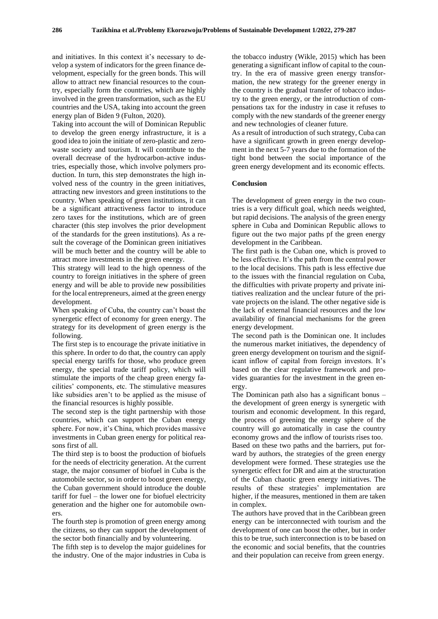and initiatives. In this context it's necessary to develop a system of indicators for the green finance development, especially for the green bonds. This will allow to attract new financial resources to the country, especially form the countries, which are highly involved in the green transformation, such as the EU countries and the USA, taking into account the green energy plan of Biden 9 (Fulton, 2020).

Taking into account the will of Dominican Republic to develop the green energy infrastructure, it is a good idea to join the initiate of zero-plastic and zerowaste society and tourism. It will contribute to the overall decrease of the hydrocarbon-active industries, especially those, which involve polymers production. In turn, this step demonstrates the high involved ness of the country in the green initiatives, attracting new investors and green institutions to the country. When speaking of green institutions, it can be a significant attractiveness factor to introduce zero taxes for the institutions, which are of green character (this step involves the prior development of the standards for the green institutions). As a result the coverage of the Dominican green initiatives will be much better and the country will be able to attract more investments in the green energy.

This strategy will lead to the high openness of the country to foreign initiatives in the sphere of green energy and will be able to provide new possibilities for the local entrepreneurs, aimed at the green energy development.

When speaking of Cuba, the country can't boast the synergetic effect of economy for green energy. The strategy for its development of green energy is the following.

The first step is to encourage the private initiative in this sphere. In order to do that, the country can apply special energy tariffs for those, who produce green energy, the special trade tariff policy, which will stimulate the imports of the cheap green energy facilities' components, etc. The stimulative measures like subsidies aren't to be applied as the misuse of the financial resources is highly possible.

The second step is the tight partnership with those countries, which can support the Cuban energy sphere. For now, it's China, which provides massive investments in Cuban green energy for political reasons first of all.

The third step is to boost the production of biofuels for the needs of electricity generation. At the current stage, the major consumer of biofuel in Cuba is the automobile sector, so in order to boost green energy, the Cuban government should introduce the double tariff for fuel – the lower one for biofuel electricity generation and the higher one for automobile owners.

The fourth step is promotion of green energy among the citizens, so they can support the development of the sector both financially and by volunteering.

The fifth step is to develop the major guidelines for the industry. One of the major industries in Cuba is

the tobacco industry (Wikle, 2015) which has been generating a significant inflow of capital to the country. In the era of massive green energy transformation, the new strategy for the greener energy in the country is the gradual transfer of tobacco industry to the green energy, or the introduction of compensations tax for the industry in case it refuses to comply with the new standards of the greener energy and new technologies of cleaner future.

As a result of introduction of such strategy, Cuba can have a significant growth in green energy development in the next 5-7 years due to the formation of the tight bond between the social importance of the green energy development and its economic effects.

#### **Conclusion**

The development of green energy in the two countries is a very difficult goal, which needs weighted, but rapid decisions. The analysis of the green energy sphere in Cuba and Dominican Republic allows to figure out the two major paths pf the green energy development in the Caribbean.

The first path is the Cuban one, which is proved to be less effective. It's the path from the central power to the local decisions. This path is less effective due to the issues with the financial regulation on Cuba, the difficulties with private property and private initiatives realization and the unclear future of the private projects on the island. The other negative side is the lack of external financial resources and the low availability of financial mechanisms for the green energy development.

The second path is the Dominican one. It includes the numerous market initiatives, the dependency of green energy development on tourism and the significant inflow of capital from foreign investors. It's based on the clear regulative framework and provides guaranties for the investment in the green energy.

The Dominican path also has a significant bonus – the development of green energy is synergetic with tourism and economic development. In this regard, the process of greening the energy sphere of the country will go automatically in case the country economy grows and the inflow of tourists rises too. Based on these two paths and the barriers, put for-

ward by authors, the strategies of the green energy development were formed. These strategies use the synergetic effect for DR and aim at the structuration of the Cuban chaotic green energy initiatives. The results of these strategies' implementation are higher, if the measures, mentioned in them are taken in complex.

The authors have proved that in the Caribbean green energy can be interconnected with tourism and the development of one can boost the other, but in order this to be true, such interconnection is to be based on the economic and social benefits, that the countries and their population can receive from green energy.